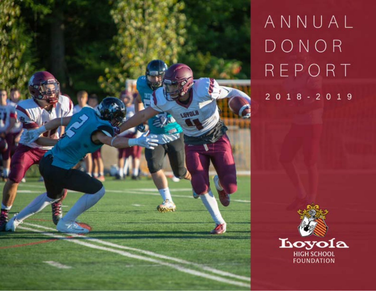

# ANNUAL DONOR REPORT

 $2018 - 2019$ 

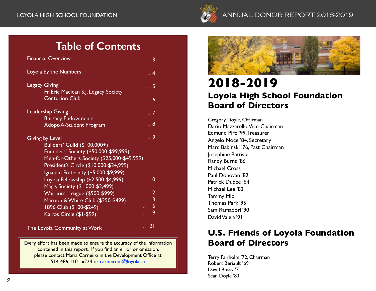

# LOYOLA HIGH SCHOOL FOUNDATION AND REPORT 2018-2019

# **Table of Contents**

| <b>Financial Overview</b>                                                                                                                                                                                                        | <u>3</u>               |
|----------------------------------------------------------------------------------------------------------------------------------------------------------------------------------------------------------------------------------|------------------------|
| Loyola by the Numbers                                                                                                                                                                                                            | . 4                    |
| <b>Legacy Giving</b><br>Fr. Eric Maclean S.J. Legacy Society                                                                                                                                                                     | $\ldots$ 5             |
| <b>Centurion Club</b>                                                                                                                                                                                                            | $\ldots 6$             |
| <b>Leadership Giving</b>                                                                                                                                                                                                         | 7                      |
| <b>Bursary Endowments</b><br>Adopt-A-Student Program                                                                                                                                                                             | 8                      |
| <b>Giving by Level</b><br>Builders' Guild (\$100,000+)<br>Founders' Society (\$50,000-\$99,999)<br>Men-for-Others Society (\$25,000-\$49,999)<br>President's Circle (\$10,000-\$24,999)<br>Ignatian Fraternity (\$5,000-\$9,999) | . 9                    |
| Loyola Fellowship (\$2,500-\$4,999)<br>Magis Society (\$1,000-\$2,499)                                                                                                                                                           | $\dots$ 10             |
| Warriors' League (\$500-\$999)                                                                                                                                                                                                   | $\overline{\ldots}$ 12 |
| Maroon & White Club (\$250-\$499)                                                                                                                                                                                                | $\dots$ 13             |
| 1896 Club (\$100-\$249)                                                                                                                                                                                                          | $\dots$ 16             |
| Kairos Circle (\$1-\$99)                                                                                                                                                                                                         | 19                     |
| The Loyola Community at Work                                                                                                                                                                                                     | $\overline{\ldots 21}$ |

Every effort has been made to ensure the accuracy of the information contained in this report. If you find an error or omission, please contact Maria Carneiro in the Development Office at 514-486-1101 x224 or [carneirom@loyola.ca](mailto:carneirom@loyola.ca)



# **2018-2019 Loyola High School Foundation Board of Directors**

Gregory Doyle, Chairman Dario Mazzarello, Vice-Chairman Edmund Piro '99, Treasurer Angelo Noce '84, Secretary Marc Babinski '76, Past Chairman Josephine Battista Randy Burns '86 Michael Cross Paul Donovan '82 Patrick Dubee '64 Michael Lee '82 Tammy Mio Thomas Park '95 Sam Ramadori '90 David Valela '91

# **U.S. Friends of Loyola Foundation Board of Directors**

Terry Fairholm '72, Chairman Robert Beriault '69 David Bossy '71 Sean Doyle '83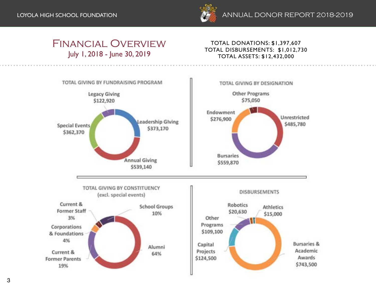

# Financial Overview July 1, 2018 - June 30, 2019

# TOTAL DONATIONS: \$1,397,607 TOTAL DISBURSEMENTS: \$1,012,730 TOTAL ASSETS: \$12,432,000

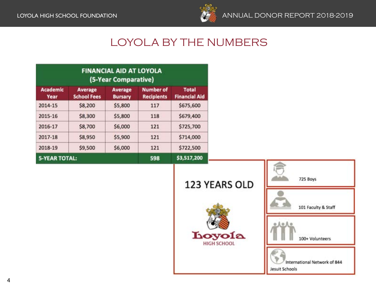

# LOYOLA BY THE NUMBERS

| <b>FINANCIAL AID AT LOYOLA</b><br>(5-Year Comparative) |                                      |                                  |                                       |                                      |
|--------------------------------------------------------|--------------------------------------|----------------------------------|---------------------------------------|--------------------------------------|
| <b>Academic</b><br>Year                                | <b>Average</b><br><b>School Fees</b> | <b>Average</b><br><b>Bursary</b> | <b>Number of</b><br><b>Recipients</b> | <b>Total</b><br><b>Financial Aid</b> |
| 2014-15                                                | \$8,200                              | \$5,800                          | 117                                   | \$675,600                            |
| 2015-16                                                | \$8,300                              | \$5,800                          | 118                                   | \$679,400                            |
| 2016-17                                                | \$8,700                              | \$6,000                          | 121                                   | \$725,700                            |
| 2017-18                                                | \$8,950                              | \$5,900                          | 121                                   | \$714,000                            |
| 2018-19                                                | \$9,500                              | \$6,000                          | 121                                   | \$722,500                            |
| <b>5-YEAR TOTAL:</b>                                   |                                      |                                  | 598                                   | \$3,517,200                          |

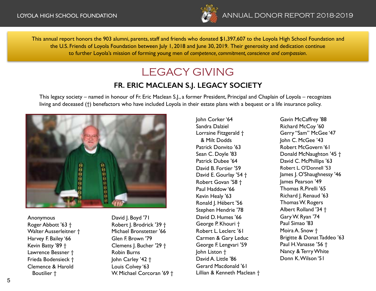

This annual report honors the 903 alumni, parents, staff and friends who donated \$1,397,607 to the Loyola High School Foundation and the U.S. Friends of Loyola Foundation between July 1, 2018 and June 30, 2019. Their generosity and dedication continue to further Loyola's mission of forming young men of *competence, commitment, conscience and compassion*.

# LEGACY GIVING

# **FR. ERIC MACLEAN S.J. LEGACY SOCIETY**

This legacy society – named in honour of Fr. Eric Maclean S.J., a former President, Principal and Chaplain of Loyola – recognizes living and deceased (†) benefactors who have included Loyola in their estate plans with a bequest or a life insurance policy.



Anonymous Roger Abbott '63 † Walter Ausserleitner † Harvey F. Bailey '66 Kevin Batty '89 † Lawrence Bessner † Frieda Bodensieck † Clemence & Harold Boutilier †

David J. Boyd '71 Robert J. Brodrick '39 † Michael Bronstetter '66 Glen F. Brown '79 Clemens J. Bucher '29 † Robin Burns John Carley '42 † Louis Colvey '63 W. Michael Corcoran '69 † John Corker '64 Sandra Dalziel Lorraine Fitzgerald † & Milt Dodds Patrick Donvito '63 Sean C. Doyle '83 Patrick Dubee '64 David B. Fortier '59 David E. Gourlay '54 † Robert Govan '58 † Paul Haddow '66 Kevin Healy '63 Ronald J. Hébert '56 Stephen Hendrie '78 David D. Humes '66 George P. Khouri † Robert L. Leclerc '61 Carmen & Gary Leduc George F. Lengvari '59 John Liston † David A. Little '86 Gerard Macdonald '61 Lillian & Kenneth Maclean † Gavin McCaffrey '88 Richard McCoy '60 Gerry "Sam" McGee '47 John C. McGee '43 Robert McGovern '61 Donald McNaughton '45 † David C. McPhillips '63 Robert L. O'Donnell '53 James J. O'Shaughnessy '46 James Pearson '49 Thomas R.Pirelli '65 Richard J. Renaud '63 Thomas W. Rogers Albert Rolland '34 † Gary W. Ryan '74 Paul Simao '83 Moira A. Snow † Brigitte & Donat Taddeo '63 Paul H. Vanasse '56 † Nancy & Terry White Donn K. Wilson '51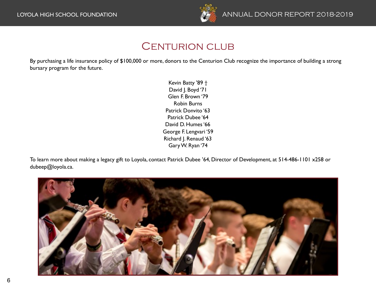

# CENTURION CLUB

By purchasing a life insurance policy of \$100,000 or more, donors to the Centurion Club recognize the importance of building a strong bursary program for the future.

> Kevin Batty '89 † David J. Boyd '71 Glen F. Brown '79 Robin Burns Patrick Donvito '63 Patrick Dubee '64 David D. Humes '66 George F. Lengvari '59 Richard J. Renaud '63 Gary W. Ryan '74

To learn more about making a legacy gift to Loyola, contact Patrick Dubee '64, Director of Development, at 514-486-1101 x258 or [dubeep@loyola.ca](mailto:dubeep@loyola.ca).

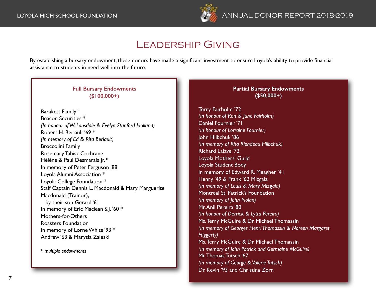

# Leadership Giving

By establishing a bursary endowment, these donors have made a significant investment to ensure Loyola's ability to provide financial assistance to students in need well into the future.

# **Full Bursary Endowments (\$100,000+)**

Barakett Family \* Beacon Securities \* *(In honour of W. Lonsdale & Evelyn Stanford Holland)* Robert H. Beriault '69 \* *(In memory of Ed & Rita Beriault)* Broccolini Family Rosemary Tabisz Cochrane Hélène & Paul Desmarais Jr. \* In memory of Peter Ferguson '88 Loyola Alumni Association \* Loyola College Foundation \* Staff Captain Dennis L. Macdonald & Mary Marguerite Macdonald (Trainor), by their son Gerard '61 In memory of Eric Maclean S.J. '60 \* Mothers-for-Others Roasters Foundation In memory of Lorne White '93 \* Andrew '63 & Marysia Zaleski

*\* multiple endowments*

### **Partial Bursary Endowments (\$50,000+)**

Terry Fairholm '72 *(In honour of Ron & June Fairholm)* Daniel Fournier '71 *(In honour of Lorraine Fournier)* John Hlibchuk '86 *(In memory of Rita Riendeau Hlibchuk)* Richard Lafave '72 Loyola Mothers' Guild Loyola Student Body In memory of Edward R. Meagher '41 Henry '49 & Frank '62 Mizgala *(In memory of Louis & Mary Mizgala)* Montreal St. Patrick's Foundation *(In memory of John Nolan)* Mr. Anil Pereira '80 *(In honour of Derrick & Lytta Pereira)* Ms. Terry McGuire & Dr. Michael Thomassin *(In memory of Georges Henri Thomassin & Noreen Margaret Higgerty)* Ms. Terry McGuire & Dr. Michael Thomassin *(In memory of John Patrick and Germaine McGuire)* Mr. Thomas Tutsch '67 *(In memory of George & Valerie Tutsch)* Dr. Kevin '93 and Christina Zorn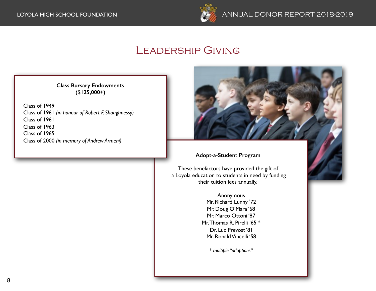

# Leadership Giving

**Class Bursary Endowments (\$125,000+)** 

Class of 1949 Class of 1961 *(in honour of Robert F. Shaughnessy)* Class of 1961 Class of 1963 Class of 1965 Class of 2000 *(in memory of Andrew Armeni)*



## **Adopt-a-Student Program**

These benefactors have provided the gift of a Loyola education to students in need by funding their tuition fees annually.

> Anonymous Mr. Richard Lunny '72 Mr. Doug O'Mara '68 Mr. Marco Ottoni '87 Mr. Thomas R. Pirelli '65 \* Dr. Luc Prevost '81 Mr. Ronald Vincelli '58

> > *\* multiple "adoptions"*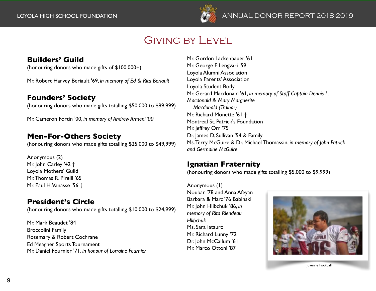

# Giving by Level

# **Builders' Guild**

(honouring donors who made gifts of \$100,000+)

Mr. Robert Harvey Beriault '69, *in memory of Ed & Rita Beriault*

# **Founders' Society**

(honouring donors who made gifts totalling \$50,000 to \$99,999)

Mr. Cameron Fortin '00, *in memory of Andrew Armeni '00*

# **Men-For-Others Society**

(honouring donors who made gifts totalling \$25,000 to \$49,999)

Anonymous (2) Mr. John Carley '42 † Loyola Mothers' Guild Mr. Thomas R. Pirelli '65 Mr. Paul H. Vanasse '56 †

# **President's Circle**

(honouring donors who made gifts totalling \$10,000 to \$24,999)

Mr. Mark Beaudet '84 Broccolini Family Rosemary & Robert Cochrane Ed Meagher Sports Tournament Mr. Daniel Fournier '71, *in honour of Lorraine Fournier*

Mr. Gordon Lackenbauer '61 Mr. George F. Lengvari '59 Loyola Alumni Association Loyola Parents' Association Loyola Student Body Mr. Gerard Macdonald '61, *in memory of Staff Captain Dennis L. Macdonald & Mary Marguerite Macdonald (Trainor)* Mr. Richard Monette '61 † Montreal St. Patrick's Foundation Mr. leffrey Orr '75 Dr. James D. Sullivan '54 & Family Ms. Terry McGuire & Dr. Michael Thomassin, *in memory of John Patrick and Germaine McGuire*

# **Ignatian Fraternity**

(honouring donors who made gifts totalling \$5,000 to \$9,999)

Anonymous (1) Noubar '78 and Anna Afeyan Barbara & Marc '76 Babinski Mr. John Hlibchuk '86, *in memory of Rita Riendeau Hlibchuk* Ms. Sara Iatauro Mr. Richard Lunny '72 Dr. John McCallum '61 Mr. Marco Ottoni '87



Juvenile Football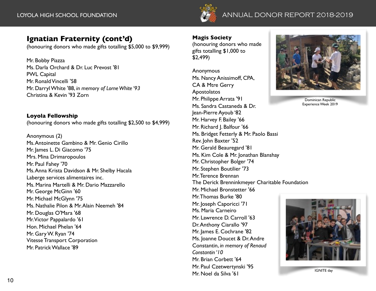

# LOYOLA HIGH SCHOOL FOUNDATION **ANNUAL DONOR REPORT 2014-2015** LOYOLA HIGH SCHOOL FOUNDATION ANNUAL DONOR REPORT 2018-2019

# **Ignatian Fraternity (cont'd)**

(honouring donors who made gifts totalling \$5,000 to \$9,999)

Mr. Bobby Piazza Ms. Darla Orchard & Dr. Luc Prevost '81 PWL Capital Mr. Ronald Vincelli '58 Mr. Darryl White '88, *in memory of Lorne White '93* Christina & Kevin '93 Zorn

**Loyola Fellowship** (honouring donors who made gifts totalling \$2,500 to \$4,999)

Anonymous (2) Ms. Antoinette Gambino & Mr. Genio Cirillo Mr. James L. Di Giacomo '75 Mrs. Mina Drimaropoulos Mr. Paul Fahey '70 Ms. Anna Krista Davidson & Mr. Shelby Hacala Laberge services alimentaires inc. Ms. Marina Martelli & Mr. Dario Mazzarello Mr. George McGinn '60 Mr. Michael McGlynn '75 Ms. Nathalie Pilon & Mr. Alain Neemeh '84 Mr. Douglas O'Mara '68 Mr. Victor Pappalardo '61 Hon. Michael Phelan '64 Mr. Gary W. Ryan '74 Vitesse Transport Corporation Mr. Patrick Wallace '89

**Magis Society**

(honouring donors who made gifts totalling \$1,000 to \$2,499)

Anonymous Ms. Nancy Anissimoff, CPA, CA & Mtre Gerry Apostolatos Mr. Philippe Arrata '91 Ms. Sandra Castaneda & Dr. Jean-Pierre Ayoub '82 Mr. Harvey F. Bailey '66 Mr. Richard J. Balfour '66 Ms. Bridget Fetterly & Mr. Paolo Bassi Rev. John Baxter '52 Mr. Gerald Beauregard '81 Ms. Kim Cole & Mr. Jonathan Blanshay Mr. Christopher Bolger '74 Mr. Stephen Boutilier '73 Mr. Terence Brennan The Derick Brenninkmeyer Charitable Foundation Mr. Michael Bronstetter '66 Mr. Thomas Burke '80 Mr. Joseph Caporicci '71 Ms. Maria Carneiro Mr. Lawrence D. Carroll '63 Dr. Anthony Ciarallo '97 Mr. James E. Cochrane '82 Ms. Joanne Doucet & Dr. Andre Constantin, *in memory of Renaud Constantin '10* Mr. Brian Corbett '64 Mr. Paul Czetwertynski '95 Mr. Noel da Silva '61



Dominican Republic Experience Week 2019

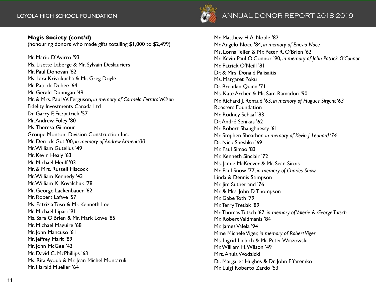# **Magis Society (cont'd)**

(honouring donors who made gifts totalling \$1,000 to \$2,499)

Mr. Mario D'Avirro '93 Ms. Lisette Laberge & Mr. Sylvain Deslauriers Mr. Paul Donovan '82 Ms. Lara Krivokucha & Mr. Greg Doyle Mr. Patrick Dubee '64 Mr. Gerald Dunnigan '49 Mr. & Mrs. Paul W. Ferguson, *in memory of Carmela Ferrara Wilson* Fidelity Investments Canada Ltd Dr. Garry F. Fitzpatrick '57 Mr. Andrew Foley '80 Ms. Theresa Gilmour Groupe Montoni Division Construction Inc. Mr. Derrick Gut '00, *in memory of Andrew Armeni '00* Mr. William Gutelius '49 Mr. Kevin Healy '63 Mr. Michael Heuff '03 Mr. & Mrs. Russell Hiscock Mr. William Kennedy '43 Mr. William K. Kovalchuk '78 Mr. George Lackenbauer '62 Mr. Robert Lafave '57 Ms. Patrizia Toso & Mr. Kenneth Lee Mr. Michael Lipari '91 Ms. Sara O'Brien & Mr. Mark Lowe '85 Mr. Michael Maguire '68 Mr. John Mancuso '61 Mr. Jeffrey Marit '89 Mr. John McGee '43 Mr. David C. McPhillips '63 Ms. Rita Ayoub & Mr. Jean Michel Montaruli Mr. Harald Mueller '64



Mr. Matthew H.A. Noble '82 Mr. Angelo Noce '84, *in memory of Enevio Noce* Ms. Lorna Telfer & Mr. Peter R. O'Brien '62 Mr. Kevin Paul O'Connor '90, *in memory of John Patrick O'Connor* Mr. Patrick O'Neill '81 Dr. & Mrs. Donald Palisaitis Ms. Margaret Poku Dr. Brendan Quinn '71 Ms. Kate Archer & Mr. Sam Ramadori '90 Mr. Richard J. Renaud '63, *in memory of Hugues Sirgent '63* Roasters Foundation Mr. Rodney Schaaf '83 Dr. André Senikas '62 Mr. Robert Shaughnessy '61 Mr. Stephen Sheather, *in memory of Kevin J. Leonard '74* Dr. Nick Sheshko '69 Mr. Paul Simao '83 Mr. Kenneth Sinclair '72 Ms. Jamie McKeever & Mr. Sean Sirois Mr. Paul Snow '77, *in memory of Charles Snow* Linda & Dennis Stimpson Mr. Jim Sutherland '76 Mr. & Mrs. John D. Thompson Mr. Gabe Toth '79 Mr. Terry Tretiak '89 Mr. Thomas Tutsch '67, *in memory of Valerie & George Tutsch* Mr. Robert Valdmanis '84 Mr. James Valela '94 Mme Michele Viger, *in memory of Robert Viger* Ms. Ingrid Liebich & Mr. Peter Wiazowski Mr. William H. Wilson '49 Mrs. Anula Wodzicki Dr. Margaret Hughes & Dr. John F. Yaremko Mr. Luigi Roberto Zardo '53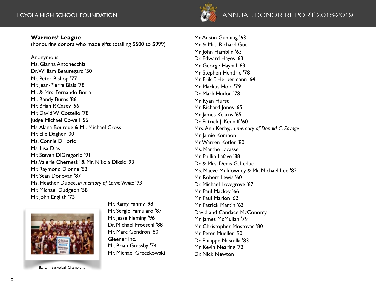

### **Warriors' League**

(honouring donors who made gifts totalling \$500 to \$999)

Anonymous Ms. Gianna Antonecchia Dr. William Beauregard '50 Mr. Peter Bishop '77 Mr. Jean-Pierre Blais '78 Mr. & Mrs. Fernando Borja Mr. Randy Burns '86 Mr. Brian P. Casey '56 Mr. David W. Costello '78 Judge Michael Cowell '56 Ms. Alana Bourque & Mr. Michael Cross Mr. Elie Dagher '00 Ms. Connie Di Iorio Ms. Lisa Dias Mr. Steven DiGregorio '91 Ms. Valerie Cherneski & Mr. Nikola Diksic '93 Mr. Raymond Dionne '53 Mr. Sean Donovan '87 Ms. Heather Dubee, *in memory of Lorne White '93* Mr. Michael Dudgeon '58 Mr. John English '73



Bantam Basketball Champions

Mr. Ramy Fahmy '98 Mr. Sergio Famularo '87 Mr. Jesse Fleming '96 Dr. Michael Froeschl '88 Mr. Marc Gendron '80 Gleener Inc. Mr. Brian Grassby '74 Mr. Michael Greczkowski Mr. Austin Gunning '63 Mr. & Mrs. Richard Gut Mr. John Hamblin '63 Dr. Edward Hayes '63 Mr. George Haynal '63 Mr. Stephen Hendrie '78 Mr. Erik F. Herbermann '64 Mr. Markus Hold '79 Dr. Mark Hudon '78 Mr. Ryan Hurst Mr. Richard Jones '65 Mr. James Kearns '65 Dr. Patrick J. Kenniff '60 Mrs. Ann Kerby, *in memory of Donald C. Savage* Mr. Jamie Kompon Mr. Warren Kotler '80 Ms. Marthe Lacasse Mr. Phillip Lafave '88 Dr. & Mrs. Denis G. Leduc Ms. Maeve Muldowney & Mr. Michael Lee '82 Mr. Robert Lewis '60 Dr. Michael Lovegrove '67 Mr. Paul Mackey '66 Mr. Paul Marion '62 Mr. Patrick Martin '63 David and Candace McConomy Mr. James McMullan '79 Mr. Christopher Mostovac '80 Mr. Peter Mueller '90 Dr. Philippe Nasralla '83 Mr. Kevin Nearing '72

Dr. Nick Newton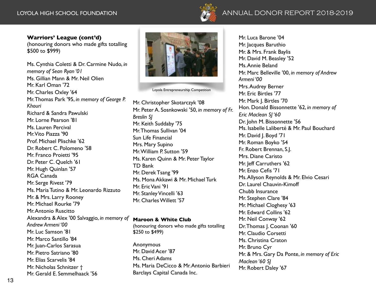

## **Warriors' League (cont'd)**

(honouring donors who made gifts totalling \$500 to \$999)

Ms. Cynthia Coletti & Dr. Carmine Nudo, *in memory of Sean Ryan '01* Ms. Gillian Mann & Mr. Neil Olien Mr. Karl Oman '72 Mr. Charles Oxley '64 Mr. Thomas Park '95, *in memory of George P. Khouri* Richard & Sandra Pawulski Mr. Lorne Pearson '81 Ms. Lauren Percival Mr. Vito Piazza '90 Prof. Michael Plischke '62 Dr. Robert C. Polomeno '58 Mr. Franco Proietti '95 Dr. Peter C. Quelch '61 Mr. Hugh Quinlan '57 RGA Canada Mr. Serge Rivest '79 Ms. Maria Tutino & Mr. Leonardo Rizzuto Mr. & Mrs. Larry Rooney Mr. Michael Rourke '79 Mr. Antonio Ruscitto Alexandra & Alex '00 Salvaggio, *in memory of Andrew Armeni '00* Mr. Luc Samson '81 Mr. Marco Santillo '84 Mr. Juan-Carlos Sarasua Mr. Pietro Satriano '80 Mr. Elias Scarvelis '84 Mr. Nicholas Schnitzer † Mr. Gerald E. Semmelhaack '56



Loyola Entrepreneurship Competition

Mr. Christopher Skotarczyk '08 Mr. Peter A. Sosnkowski '50, *in memory of Fr. Breslin SJ* Mr. Keith Suddaby '75 Mr. Thomas Sullivan '04 Sun Life Financial Mrs. Mary Supino Mr. William P. Sutton '59 Ms. Karen Quinn & Mr. Peter Taylor TD Bank Mr. Derek Tsang '99 Ms. Mona Akkawi & Mr. Michael Turk Mr. Eric Vani '91 Mr. Stanley Vincelli '63 Mr. Charles Willett '57

### **Maroon & White Club**

(honouring donors who made gifts totalling \$250 to \$499)

Anonymous Mr. David Acer '87 Ms. Cheri Adams Ms. Maria DeCicco & Mr. Antonio Barbieri Barclays Capital Canada Inc.

Mr. Luca Barone '04 Mr. Jacques Baruthio Mr. & Mrs. Frank Baylis Mr. David M. Beasley '52 Ms. Annie Beland Mr. Marc Belleville '00, *in memory of Andrew Armeni '00* Mrs. Audrey Berner Mr. Eric Birtles '77 Mr. Mark J. Birtles '70 Hon. Donald Bissonnette '62, *in memory of Eric Maclean SJ '60* Dr. John M. Bissonnette '56 Ms. Isabelle Laliberté & Mr. Paul Bouchard Mr. David J. Boyd '71 Mr. Roman Boyko '54 Fr. Robert Brennan, S.J. Mrs. Diane Caristo Mr. Jeff Carruthers '62 Mr. Enzo Cefis '71 Ms. Allyson Reynolds & Mr. Elvio Cesari Dr. Laurel Chauvin-Kimoff Chubb Insurance Mr. Stephen Clare '84 Mr. Michael Cloghesy '63 Mr. Edward Collins '62 Mr. Neil Conway '62 Dr. Thomas J. Coonan '60 Mr. Claudio Corsetti Ms. Christina Craton Mr. Bruno Cyr Mr. & Mrs. Gary Da Ponte, *in memory of Eric Maclean '60 SJ* Mr. Robert Daley '67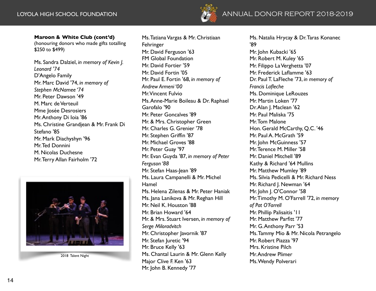

### **Maroon & White Club (cont'd)**

(honouring donors who made gifts totalling \$250 to \$499)

Ms. Sandra Dalziel, *in memory of Kevin J. Leonard '74* D'Angelo Family Mr. Marc David '74, *in memory of Stephen McNamee '74* Mr. Peter Dawson '49 M. Marc de Verteuil Mme Josée Desrosiers Mr. Anthony Di Ioia '86 Ms. Christine Grandjean & Mr. Frank Di Stefano '85 Mr. Mark Diachyshyn '96 Mr. Ted Donnini M. Nicolas Duchesne Mr. Terry Allan Fairholm '72



2018 Talent Night

Ms. Tatiana Vargas & Mr. Christiaan Fehringer Mr. David Ferguson '63 FM Global Foundation Mr. David Fortier '59 Mr. David Fortin '05 Mr. Paul E. Fortin '68, *in memory of Andrew Armeni '00* Mr. Vincent Fulvio Ms. Anne-Marie Boileau & Dr. Raphael Garofalo '90 Mr. Peter Goncalves '89 Mr. & Mrs. Christopher Green Mr. Charles G. Grenier '78 Mr. Stephen Griffin '87 Mr. Michael Groves '88 Mr. Peter Guay '97 Mr. Evan Guyda '87, *in memory of Peter Ferguson '88* Mr. Stefan Haas-Jean '89 Ms. Laura Campanelli & Mr. Michel Hamel Ms. Helena Zilenas & Mr. Peter Haniak Ms. Jana Lanikova & Mr. Reghan Hill Mr. Neil K. Houston '88 Mr. Brian Howard '64 Mr. & Mrs. Stuart Iversen, *in memory of Serge Miloradvitch* Mr. Christopher Javornik '87 Mr. Stefan Juretic '94 Mr. Bruce Kelly '63 Ms. Chantal Laurin & Mr. Glenn Kelly Major Clive F. Ken '63 Mr. John B. Kennedy '77

Ms. Natalia Hrycay & Dr. Taras Konanec '89

Mr. John Kubacki '65 Mr. Robert M. Kuley '65 Mr. Filippo La Verghetta '07 Mr. Frederick Laflamme '63 Dr. Paul T. LaFleche '73, *in memory of Francis Lafleche* Ms. Dominique LeRouzes Mr. Martin Loken '77 Dr. Alan J. Maclean '62 Mr. Paul Maliska '75 Mr. Tom Malone Hon. Gerald McCarthy, Q.C. '46 Mr. Paul A. McGrath '59 Mr. John McGuinness '57 Mr. Terence M. Miller '58 Mr. Daniel Mitchell '89 Kathy & Richard '64 Mullins Mr. Matthew Mumley '89 Ms. Silvia Pedicelli & Mr. Richard Ness Mr. Richard J. Newman '64 Mr. John J. O'Connor '58 Mr. Timothy M. O'Farrell '72, *in memory of Pat O'Farrell* Mr. Phillip Palisaitis '11 Mr. Matthew Parfitt '77 Mr. G. Anthony Parr '53 Ms. Tammy Mio & Mr. Nicola Petrangelo Mr. Robert Piazza '97 Mrs. Kristine Pilch Mr. Andrew Plimer Ms. Wendy Polverari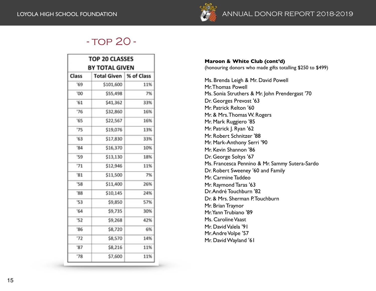

# - TOP 20 -

| <b>TOP 20 CLASSES</b><br>BY TOTAL GIVEN |                          |     |  |
|-----------------------------------------|--------------------------|-----|--|
| Class                                   | Total Given   % of Class |     |  |
| '69                                     | \$101,600                | 11% |  |
| '00                                     | \$55,498                 | 7%  |  |
| 51                                      | \$41,362                 | 33% |  |
| '76                                     | \$32,860                 | 16% |  |
| '65                                     | \$22,567                 | 16% |  |
| '75                                     | \$19,076                 | 13% |  |
| 53'                                     | \$17,830                 | 33% |  |
| "84"                                    | \$16,370                 | 10% |  |
| '59                                     | \$13,130                 | 18% |  |
| 71                                      | \$12,946                 | 11% |  |
| $^{\circ}81$                            | \$11,500                 | 7%  |  |
| '58                                     | \$11,400                 | 26% |  |
| '88                                     | \$10,145                 | 24% |  |
| '53                                     | \$9,850                  | 57% |  |
| 54'                                     | \$9,735                  | 30% |  |
| '52                                     | \$9,268                  | 42% |  |
| '86                                     | \$8,720                  | 6%  |  |
| '72                                     | \$8,570                  | 14% |  |
| 87                                      | \$8,216                  | 11% |  |
| '78                                     | \$7,600                  | 11% |  |

**Maroon & White Club (cont'd)** (honouring donors who made gifts totalling \$250 to \$499)

Ms. Brenda Leigh & Mr. David Powell Mr. Thomas Powell Ms. Sonia Struthers & Mr. John Prendergast '70 Dr. Georges Prevost '63 Mr. Patrick Relton '60 Mr. & Mrs. Thomas W. Rogers Mr. Mark Ruggiero '85 Mr. Patrick J. Ryan '62 Mr. Robert Schnitzer '88 Mr. Mark-Anthony Serri '90 Mr. Kevin Shannon '86 Dr. George Soltys '67 Ms. Francesca Pennino & Mr. Sammy Sutera-Sardo Dr. Robert Sweeney '60 and Family Mr. Carmine Taddeo Mr. Raymond Taras '63 Dr. André Touchburn '82 Dr. & Mrs. Sherman P. Touchburn Mr. Brian Traynor Mr. Yann Trubiano '89 Ms. Caroline Vaast Mr. David Valela '91 Mr. Andre Volpe '57 Mr. David Wayland '61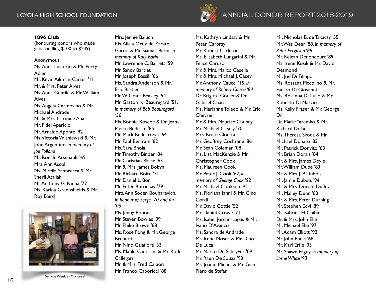

# LOYOLA HIGH SCHOOL FOUNDATION ANNUAL **ANNUAL** DONOR REPORT **DONOR REPORT** 2018-201 **2014-201** 9 **5**

### **1896 Club**

(honouring donors who made gifts totalling \$100 to \$249)

## Anonymous

Ms. Anna Lusterio & Mr. Perry Adler Mr. Kevin Aikman-Carter '11 Mr. & Mrs. Peter Alves Ms. Anna Gentile & Mr. William Alves Ms. Angela Carmosino & Mr. Michael Andrade Mr. & Mrs. Carmine Apa Mr. Fidel Aparicio Mr. Arnaldo Aponte '92 Ms. Victoria Wisniewski & Mr. John Argentino, *in memory of Joe Follano* Mr. Ronald Arsenault '69 Mrs. Ann Ascoli Ms. Mirella Santavicca & Mr. Sherif Atallah Mr. Anthony G. Baena '77 Ms. Karina Greenshields & Mr. Roy Baird



Service Week in Montreal

Mrs. Jennie Baluch Ms. Alicia Ortiz de Zarate Garcia & Mr. Siamak Barin, *in memory of Katy Barin* Mr. Lawrence C. Barrett '59 Mr. Sandy Bartlet Mr. Joseph Bassili '66 Ms. Sandra Anderson & Mr. Eric Bastien Mr. W. Grant Beasley '54 Mr. Gaston N. Beauregard '51, *in memory of Bob Beauregard '56* Ms. Bonnie Roscoe & Dr. Jean-Pierre Bedirian '85 Mr. Mark Bednarczyk '64 Mr. Paul Bertram '62 Ms. Sara Bhola Mr. Timothy Binder '84 Mr. Christian Blaise '63 Mr. & Mrs. James Bobyn Mr. Richard Boire '71 Mr. Daniel L. Bon Mr. Peter Boronkay '79 Mrs. Ann Soden Bouharevich, *in honour of Serge '70 and Yuri '05* Ms. Jenny Bouras Mr. Steven Bowles '99 Mr. Philip Brown '68 Ms. Rose Fong & Mr. George **Brunetti** Mr. Nino Calafiore '63 Ms. Mable Cantisani & Mr. Rodi Callegari Mr. & Mrs. Fred Caluori Mr. Franco Caporicci '88

Ms. Kathryn Lindsay & Mr. Peter Carbray Mr. Robert Carleton Ms. Elisabeth Lungarini & Mr. Felice Caruso Mr. & Mrs. Marco Casella Mr. & Mrs. Michael J. Casey Mr. Anthony Caucci '15, *in memory of Robert Caucci '84* Dr. Brigitte Goulet & Dr. Gabriel Chan Ms. Marianne Toledo & Mr. Eric **Chevrier** Mr. & Mrs. Maurice Chubry Mr. Michael Cleary '70 Mrs. Beate Cloetta Mr. Geoffrey Cochrane '86 Mr. Sean Coleman '08 Ms. Lisa MacKenzie & Mr. Christopher Cook Ms. Maureen Cook Mr. Peter J. Cook '62, *in memory of George Cook '52* Mr. Michael Cookson '92 Ms. Floriana Ianni & Mr. Gino Cordi Mr. David Cottle '52 Mr. Daniel Crowe '71 Ms. Isabel Jordan-Lagos & Mr. Ivano D'Avanzo Ms. Sandra de Andrade Ms. Irene Mosca & Mr. Dino De Luca Mr. Marco De Schryver '09 Mr. Raun De Souza '93 Ms. Joanie Michel & Mr. Gian Piero de Stefani

Mr. Nicholas B. de Takacsy '55 Mr. Wes Deer '88, *in memory of Peter Ferguson '88* Mr. Rejean Denoncourt '89 Ms. Irene Kosik & Mr. David **Desmond** Mr. Joe Di Filippo Ms. Rossana Piccolino & Mr. Fausto Di Giovanni Ms. Rosanna Di Lullo & Mr. Roberto Di Marzio Ms. Kelly Fraser & Mr. George Dill Dr. Marie Yaremko & Mr. Richard Dolan Ms. Theresa Skoda & Mr. Michael Donato '83 Mr. Patrick Donvito '63 Mr. Brian Dorais '84 Mr. & Mrs. James Doyle Mr. William Dube '83 Mr. & Mrs. J. P. Dubois Mr. Jamie Dubois '94 Mr. & Mrs. Donald Duffey Mr. Malley Dunn '63 Mr. & Mrs. Peter Durning Mr. Stephen Edvi '89 Ms. Sabrina El-Chibini Dr. & Mrs. John Elie Mr. Michael Elie '97 Mr. Adam Elliott '92 Mr. John Ennis '68 Mr. Karl Erfle '05 Mr. Shawn Faguy, *in memory of Lorne White '93*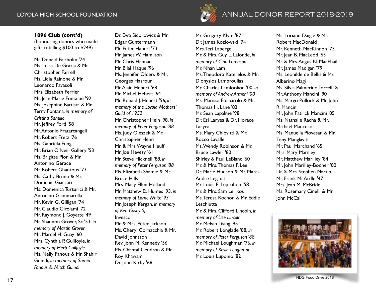# LOYOLA HIGH SCHOOL FOUNDATION **ANNUAL DONOR REPORT** 2018-2019

### **1896 Club (cont'd)**

(honouring donors who made gifts totalling \$100 to \$249)

Mr. Donald Fairholm '74 Ms. Luisa De Grazia & Mr. Christopher Farrell Ms. Lidia Rainone & Mr. Leonardo Favasoli Mrs. Elizabeth Ferrier Mr. Jean-Marie Fontaine '92 Ms. Josephine Battista & Mr. Terry Fontana, *in memory of Cristina Santillo* Mr. Jeffrey Ford '58 Mr. Antonio Fratarcangeli Mr. Robert Fretz '76 Ms. Gabriela Fung Mr. Brian O'Neill Gallery '53 Ms. Brigitte Pion & Mr. Antonino Gerace Mr. Robert Ghantous '73 Ms. Cathy Bruno & Mr. Domenic Giaccari Ms. Domenica Turturici & Mr. Antonino Giammarella Mr. Kevin G. Gilligan '74 Mr. Claudio Girolami '72 Mr. Raymond J. Goyette '49 Mr. Shannon Grover, Sr. '53, *in memory of Martin Grover* Mr. Marcel H. Guay '60 Mrs. Cynthia P. Guilfoyle, *in memory of Herb Guilfoyle* Ms. Nelly Fanous & Mr. Shahir Guindi, *in memory of Samia Fanous & Mitch Guindi*

Dr. Ewa Sidorowicz & Mr. Edgar Guntermann Mr. Peter Haberl '73 Mr. James W. Hamilton Mr. Chris Hannan Mr. Bilal Haque '96 Ms. Jennifer Olders & Mr. Georges Hasrouni Mr. Alain Hebert '68 Mr. Michel Hebert '64 Mr. Ronald J. Hebert '56, *in memory of the Loyola Mothers' Guild of 1952* Mr. Christopher Hein '98, *in memory of Peter Ferguson '88* Ms. Judy Oleszek & Mr. Christopher Henri Mr. & Mrs. Wayne Heuff Mr. Joe Hevesy '61 Mr. Steve Hicknell '88, *in memory of Peter Ferguson '88* Ms. Elizabeth Shamie & Mr. Bruce Hills Mrs. Mary Ellen Holland Mr. Matthew D. Humes '93, *in memory of Lorne White '93* Mr. Joseph Ifergan, *in memory of Ken Casey SJ* Invesco Mr. & Mrs. Peter Jackson Ms. Cheryl Cornacchia & Mr. David Johnston Rev. John M. Kennedy '56 Ms. Chantal Gendron & Mr. Roy Khawam Dr. John Kirby '68

Mr. Gregory Klym '87 Dr. James Kozlowski '74 Mrs. Teri Laberge Mr. & Mrs. Guy L. Lalonde, *in memory of Gina Lorenson* Mr. Nhan Lam Ms. Theodora Katerelos & Mr. Dionysios Lambroulias Mr. Charles Lamfookon '00, *in memory of Andrew Armeni '00* Ms. Marissa Fornarolo & Mr. Thomas H. Lane '82 Mr. Sean Lapalme '98 Dr. Esi Laryea & Dr. Horace Laryea Ms. Mary Chiovitti & Mr. Rocco Lavalle Ms. Wendy Robinson & Mr. Bruce Lawler '80 Shirley & Paul LeBlanc '60 Mr. & Mrs. Thomas F. Lee Dr. Marie Hudson & Mr. Marc-Andre Legault Mr. Louis E. Leprohon '58 Mr. & Mrs. Sam Lerikos Ms. Teresa Rochon & Mr. Eddie **Leschiutta** Mr. & Mrs. Clifford Lincoln, *in memory of Lise Lincoln* Mr. Melvin Lising '95 Mr. Robert Longlade '88, *in memory of Peter Ferguson '88* Mr. Michael Loughman '76, *in memory of Kevin Loughman*

Mr. Louis Luponio '82

Ms. Loriann Daigle & Mr. Robert MacDonald Mr. Kenneth MacKinnon '75 Mr. Jean B. MacLeod '63 Mr. & Mrs. Angus N. MacPhail Mr. James Madigan '79 Ms. Leonilde de Bellis & Mr. Alberino Magi Ms. Silvia Palmerino Torrelli & Mr. Anthony Mancini '90 Ms. Margo Pollock & Mr. John R. Mancini Mr. John Patrick Mancini '05 Ms. Nathalie Racha & Mr. Michael Mancuso Ms. Manuella Piovesan & Mr. Tony Manglaviti Mr. Paul Marchand '65 Mrs. Mary Marilley Mr. Matthew Marilley '84 Mr. John Marilley-Bodner '80 Dr. & Mrs. Stephen Martin Mr. Frank McArdle '47 Mrs. Jean M. McBride Ms. Rosemary Cinelli & Mr. John McCall



17 NDG Food Drive 2018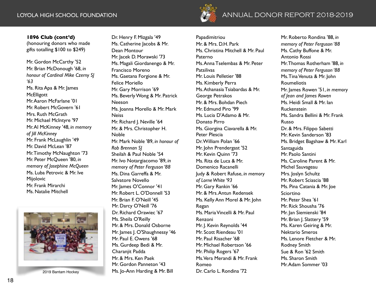

# LOYOLA HIGH SCHOOL FOUNDATION ANNUAL **ANNUAL** DONOR REPORT **DONOR REPORT** 2018-201 **2014-201** 9 **5**

### **1896 Club (cont'd)**

(honouring donors who made gifts totalling \$100 to \$249)

Mr. Gordon McCarthy '52 Mr. Brian McDonough '68, *in honour of Cardinal Mike Czerny SJ '63* Ms. Rita Apa & Mr. James **McElligott** Mr. Aaron McFarlane '01 Mr. Robert McGovern '61 Mrs. Ruth McGrath Mr. Michael McIntyre '97 Mr. Al McKinney '48, *in memory of Jill McKinney* Mr. Frank McLaughlin '49 Mr. David McLean '87 Mr. Timothy McNaughton '73 Mr. Peter McQueen '80, *in memory of Josephine McQueen* Ms. Luba Petrovic & Mr. Ive Mijolovic Mr. Frank Mirarchi Ms. Natalie Mitchell



2019 Bantam Hockey

Dr. Henry F. Mizgala '49 Ms. Catherine Jacobs & Mr. Dean Montour Mr. Jacek D. Morawski '73 Ms. Magali Giordanengo & Mr. Francisco Moreno Ms. Gaetana Forgione & Mr. Felice Moriello Mr. Gary Morrison '69 Ms. Beverly Wong & Mr. Patrick Neeson Ms. Joanna Morello & Mr. Mark Neiss Mr. Richard J. Neville '64 Mr. & Mrs. Christopher H. Noble Mr. Mark Noble '89, *in honour of Rob Brennan SJ* Sheilah & Paul Noble '54 Mr. Ivo Notargiacomo '89, *in memory of Peter Ferguson '88* Ms. Dina Garreffa & Mr. Salvatore Novello Mr. James O'Connor '41 Mr. Robert L. O'Donnell '53 Mr. Brian F. O'Neill '45 Mr. Darcy O'Neill '76 Dr. Richard Orawiec '67 Ms. Sheila O'Reilly Mr. & Mrs. Donald Osborne Mr. James J. O'Shaughnessy '46 Mr. Paul E. Owens '68 Ms. Gurdeep Bedi & Mr. Charaniit Padda Mr. & Mrs. Ken Paek Mr. Gordon Panneton '43 Ms. Jo-Ann Harding & Mr. Bill

Papadimitriou Mr. & Mrs. D.H. Park Ms. Christina Mitchell & Mr. Paul Paterno Ms. Anna Tselembas & Mr. Peter Patsilivas Mr. Louis Pelletier '88 Ms. Kimberly Perra Ms. Athanasia Tsiabardas & Mr. George Petrakos Mr. & Mrs. Bohdan Piech Mr. Edmund Piro '99 Ms. Lucia D'Adamo & Mr. Donato Pirro Ms. Giorgina Ciavarella & Mr. Peter Plescia Dr. William Polan '66 Mr. John Prendergast '52 Mr. Kevin Quinn '73 Ms. Rita de Luca & Mr. Domenico Racanelli Judy & Robert Rafuse, *in memory of Lorne White '93* Mr. Gary Rankin '66 Mr. & Mrs. Antun Redensek Ms. Kelly Ann Morel & Mr. John Regan Ms. Maria Vincelli & Mr. Paul Renzoni Mr. J. Kevin Reynolds '44 Mr. Scott Riendeau '01 Mr. Paul Risacher '68 Mr. Michael Robertson '66 Mr. Philip Rogers '67 Ms. Vera Merandi & Mr. Frank Romeo Dr. Carlo L. Rondina '72

Mr. Roberto Rondina '88, *in memory of Peter Ferguson '88* Ms. Cathy Buffone & Mr. Antonio Rossi Mr. Thomas Rotherham '88, *in memory of Peter Ferguson '88* Ms. Tina Venuta & Mr. John Roumeliotis Mr. James Rowen '51, *in memory of Jean and James Rowen* Ms. Heidi Small & Mr. Ian Ruckenstein Ms. Sandra Bellini & Mr. Frank Russo Dr. & Mrs. Filippo Sabetti Mr. Kevin Sanderson '83 Ms. Bridget Bagshaw & Mr. Karl Santaguida Mr. Paolo Santini Ms. Caroline Parent & Mr. Michel Sauvageau Mrs. Joslyn Schultz Mr. Robert Sciascia '88 Ms. Pina Catania & Mr. Joe Sciortino Mr. Peter Shea '61 Mr. Rick Shousha '76 Mr. Jan Siemienski '84 Mr. Brian J. Slattery '59 Ms. Karen Geiring & Mr. Nektario Smeros Ms. Lenore Fletcher & Mr. Rodney Smith Sue & Ron '62 Smith Ms. Sharon Smith Mr. Adam Sommer '03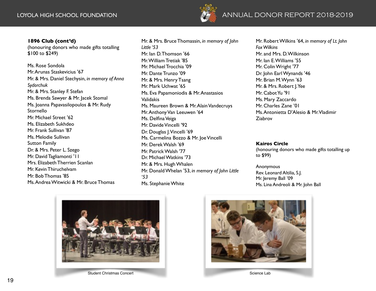

### **1896 Club (cont'd)**

(honouring donors who made gifts totalling \$100 to \$249)

Ms. Rose Sondola Mr. Arunas Staskevicius '67 Mr. & Mrs. Daniel Stechysin, *in memory of Anna Sydorchuk* Mr. & Mrs. Stanley F. Stefan Ms. Brenda Sawyer & Mr. Jacek Stomal Ms. Joanna Papavasilopoulos & Mr. Rudy Stornello Mr. Michael Street '62 Ms. Elizabeth Sukhdeo Mr. Frank Sullivan '87 Ms. Melodie Sullivan Sutton Family Dr. & Mrs. Peter L. Szego Mr. David Tagliamonti '11 Mrs. Elizabeth Therrien Scanlan Mr. Kevin Thiruchelvam Mr. Bob Thomas '85 Ms. Andrea Witwicki & Mr. Bruce Thomas

Mr. & Mrs. Bruce Thomassin, *in memory of John Little '53* Mr. Ian D. Thomson '66 Mr. William Tretiak '85 Mr. Michael Trocchia '09 Mr. Dante Trunzo '09 Mr. & Mrs. Henry Tsang Mr. Mark Uchwat '65 Ms. Eva Papamoniodis & Mr. Anastasios Validakis Ms. Maureen Brown & Mr. Alain Vandecruys Mr. Anthony Van Leeuwen '64 Ms. Delfina Veiga Mr. Davide Vincelli '92 Dr. Douglas J. Vincelli '69 Ms. Carmelina Bozzo & Mr. Joe Vincelli Mr. Derek Walsh '69 Mr. Patrick Walsh '77 Dr. Michael Watkins '73 Mr. & Mrs. Hugh Whalen Mr. Donald Whelan '53, *in memory of John Little '53* Ms. Stephanie White

Mr. Robert Wilkins '64, *in memory of Lt. John Fox Wilkins* Mr. and Mrs. D. Wilkinson Mr. Ian E. Williams '55 Mr. Colin Wright '77 Dr. John Earl Wynands '46 Mr. Brian M. Wynn '63 Mr. & Mrs. Robert J. Yee Mr. Cabot Yu '91 Ms. Mary Zaccardo Mr. Charles Zane '01 Ms. Antonietta D'Alesio & Mr. Vladimir Ziabrov

### **Kairos Circle**

(honouring donors who made gifts totalling up to \$99)

Anonymous Rev. Leonard Altilia, S.J. Mr. Jeremy Ball '09 Ms. Lina Andreoli & Mr. John Ball



Student Christmas Concert



Science Lab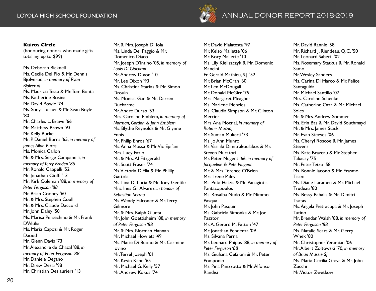

# LOYOLA HIGH SCHOOL FOUNDATION AND REPORT 2018-2019

### **Kairos Circle**

(honouring donors who made gifts totalling up to \$99)

Ms. Deborah Bicknell Ms. Cecile Del Pio & Mr. Dennis Bjolverud, *in memory of Ryan Bjolverud* Ms. Maurizia Testa & Mr. Tom Bonta Ms. Katherine Bosina Mr. David Bowie '74 Ms. Sonya Turner & Mr. Sean Boyle '80 Mr. Charles L. Braive '66 Mr. Matthew Brown '93 Mr. Kelly Burke Mr. P. Daniel Burns '65, *in memory of James Allan Burns* Ms. Monica Callon Mr. & Mrs. Serge Campanelli, *in memory of Terry Broden '85* Mr. Ronald Cappelli '52 Mr. Jonathan Cioffi '13 Mr. Kirk Coleman '88, *in memory of Peter Ferguson '88* Mr. Brian Cooney '60 Mr. & Mrs. Stephen Coull Mr. & Mrs. Claude Daccord Mr. John Daley '50 Ms. Marisa Persechino & Mr. Frank D'Altilia Ms. Maria Capozi & Mr. Roger Daoud Mr. Glenn Davis '73 Mr. Alexandre de Chazal '88, *in memory of Peter Ferguson '88* Mr. Daniele Degano Mr. Drew Desai '98 Mr. Christian Deslauriers '13

Mr. & Mrs. Joseph Di Ioia Ms. Linda Del Paggio & Mr. Domenico Diaco Mr. Joseph D'Intino '05, *in memory of Louis Di Giacomo* Mr. Andrew Dixon '10 Mr. Lee Dixon '93 Ms. Christina Starfas & Mr. Simon Drouin Ms. Monica Gan & Mr. Darren Ducharme Mr. Andre Durso '53 Mrs. Caroline Emblem, *in memory of Norman, Gordon & John Emblem* Ms. Blythe Reynolds & Mr. Glynne Ennis Mr. Philip Enros '67 Ms. Anna Mossa & Mr. Vic Epifani Mrs. Lucy Fazio Mr. & Mrs. Al Fitzgerald Mr. Scott Fraser '74 Ms. Victoria D'Elia & Mr. Phillip **Gattola** Ms. Lina Di Lucia & Mr. Tony Gentile Mrs. Ines Gil Alvarez, *in honour of Sebastian Serrao* Ms. Wendy Falconer & Mr. Terry Gilmore Mr. & Mrs. Ralph Giunta Mr. John Goettisheim '88, *in memory of Peter Ferguson '88* Mr. & Mrs. Norman Hannan Mr. Michael Howlett '49 Ms. Marie Di Buono & Mr. Carmine Iovino Mr. Terrel Joseph '01 Mr. Kevin Kane '65 Mr. Michael G. Kelly '57 Mr. Andrew Kokus '74

Mr. David Malatesta '97 Mr. Kelso Mallette '06 Mr. Rory Mallette '10 Ms. Lily Kieliszczyk & Mr. Domenic Mancini Fr. Gerald Mathieu, S.J. '52 Mr. Brian McCran '60 Mr. Len McDougall Mr. Donald McGirr '75 Mrs. Margaret Meagher Ms. Marlene Menzies Ms. Claudia Simpson & Mr. Clinton **Mercier** Mrs. Ana Mocnaj, *in memory of Ratimir Mocnaj* Mr. Suman Mukerji '73 Ms. Jo Ann Munro Ms. Vasiliki Dimitrakoulakos & Mr. Steven Muratori Mr. Peter Nugent '66, *in memory of Jacqueline & Pete Nugent* Mr. & Mrs. Terence O'Brien Mrs. Irene Paley Ms. Pota Hatzis & Mr. Panagiotis Pantazopoulos Ms. Rosalba Nudo & Mr. Mimmo Pasqua Mr. John Pasquini Ms. Gabriela Simonka & Mr. Joe Pasztor Mr. A. Gerard M. Patton '47 Mr. Jonathan Pendenza '09 Ms. Silvana Perna Mr. Leonard Phipps '88, *in memory of Peter Ferguson '88* Ms. Giuliana Cefaloni & Mr. Peter Pomponio Ms. Pina Pinizzotto & Mr. Alfonso Randisi

Mr. David Rannie '58 Mr. Richard I. Riendeau, O.C. '50 Mr. Leonard Sabetti '02 Ms. Rosemary Statkus & Mr. Ronald Samo Mr. Wesley Sanders Ms. Carina Di Marco & Mr. Felice Santaguida Mr. Michael Santillo '07 Mrs. Caroline Schenke Ms. Catherine Caza & Mr. Michael Soles Mr. & Mrs. Andrew Sommer Ms. Erin Bas & Mr. David Southmayd Mr. & Mrs. James Stack Mr. Evan Steeves '06 Ms. Cheryl Roscoe & Mr. James **Stevens** Ms. Kate Brazeau & Mr. Stephen Takacsy '75 Mr. Peter Tetro '58 Ms. Bonnie Iacono & Mr. Erasmo Tiseo Ms. Diane Laramee & Mr. Michael Trudeau '80 Ms. Bessy Babalis & Mr. Dimitri Tsatas Ms. Angela Pietracupa & Mr. Joseph Tutino Mr. Brendan Walsh '88, *in memory of Peter Ferguson '88* Ms. Natalie Sears & Mr. Gerry Wnek '80 Mr. Christopher Yeramian '06 Mr. Albert Zoltowski '70, *in memory of Brian Massie SJ* Ms. Maria Cecilia Grava & Mr. John Zucchi Mr. Victor Zwetkow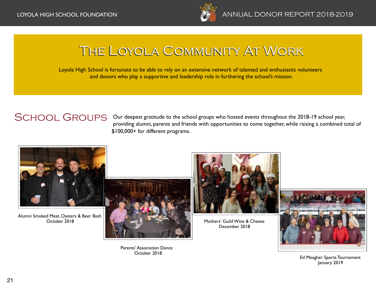

# The Loyola Community At Work

Loyola High School is fortunate to be able to rely on an extensive network of talented and enthusiastic volunteers and donors who play a supportive and leadership role in furthering the school's mission.

# SCHOOL GROUPS

Our deepest gratitude to the school groups who hosted events throughout the 2018-19 school year, providing alumni, parents and friends with opportunities to come together, while raising a combined total of \$100,000+ for different programs.



Alumni Smoked Meat, Oysters & Beer Bash October 2018



Parents' Association Dance October 2018



Mothers' Guild Wine & Cheese December 2018



Ed Meagher Sports Tournament January 2019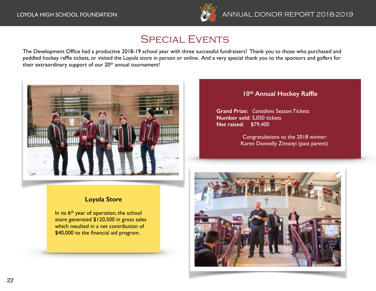

# Special Events

The Development Office had a productive 2018-19 school year with three successful fundraisers! Thank you to those who purchased and peddled hockey raffle tickets, or visited the Loyola store in person or online. And a very special thank you to the sponsors and golfers for their extraordinary support of our 20<sup>th</sup> annual tournament!



# **10th Annual Hockey Raffle**

**Grand Prize:** *Canadiens* Season Tickets **Number sold:** 5,050 tickets **Net raised:** \$79,400

> Congratulations to the 2018 winner: Karen Donnelly Zimanyi (past parent)

# **Loyola Store**

In its  $6<sup>th</sup>$  year of operation, the school store generated \$120,500 in gross sales which resulted in a net contribution of \$40,000 to the financial aid program.